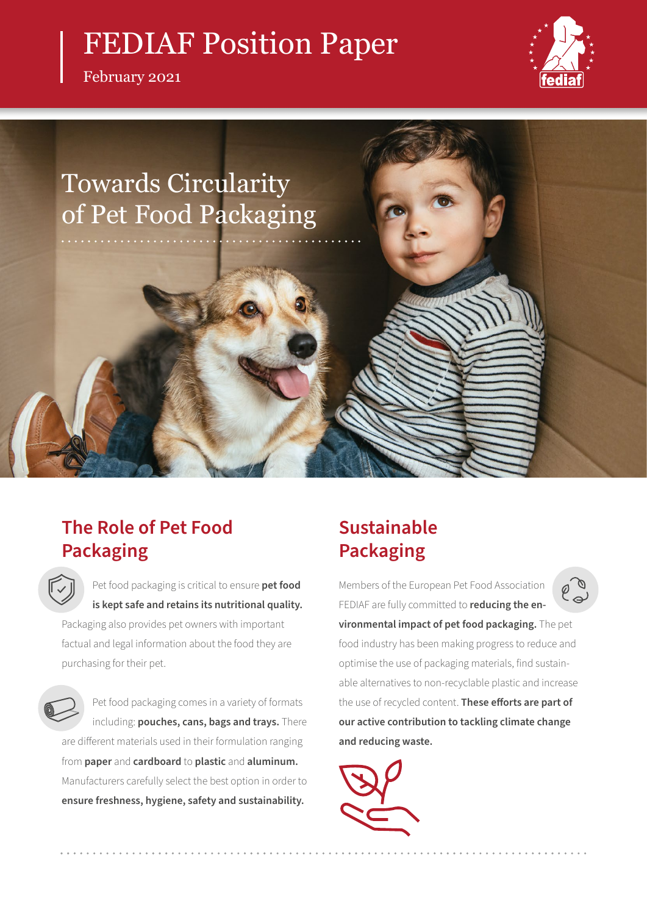# FEDIAF Position Paper

February 2021





## **The Role of Pet Food Packaging**

Pet food packaging is critical to ensure **pet food is kept safe and retains its nutritional quality.** Packaging also provides pet owners with important

factual and legal information about the food they are purchasing for their pet.

Pet food packaging comes in a variety of formats including: **pouches, cans, bags and trays.** There are different materials used in their formulation ranging from **paper** and **cardboard** to **plastic** and **aluminum.** Manufacturers carefully select the best option in order to **ensure freshness, hygiene, safety and sustainability.**

# **Sustainable Packaging**

Members of the European Pet Food Association FEDIAF are fully committed to **reducing the environmental impact of pet food packaging.** The pet food industry has been making progress to reduce and optimise the use of packaging materials, find sustainable alternatives to non-recyclable plastic and increase the use of recycled content. **These efforts are part of our active contribution to tackling climate change and reducing waste.**